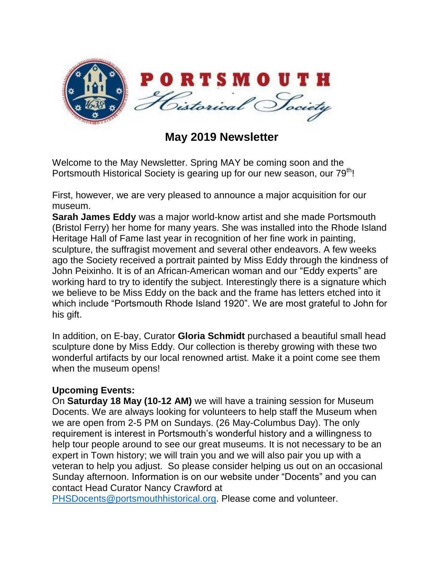

**May 2019 Newsletter**

Welcome to the May Newsletter. Spring MAY be coming soon and the Portsmouth Historical Society is gearing up for our new season, our 79<sup>th</sup>!

First, however, we are very pleased to announce a major acquisition for our museum.

**Sarah James Eddy** was a major world-know artist and she made Portsmouth (Bristol Ferry) her home for many years. She was installed into the Rhode Island Heritage Hall of Fame last year in recognition of her fine work in painting, sculpture, the suffragist movement and several other endeavors. A few weeks ago the Society received a portrait painted by Miss Eddy through the kindness of John Peixinho. It is of an African-American woman and our "Eddy experts" are working hard to try to identify the subject. Interestingly there is a signature which we believe to be Miss Eddy on the back and the frame has letters etched into it which include "Portsmouth Rhode Island 1920". We are most grateful to John for his gift.

In addition, on E-bay, Curator **Gloria Schmidt** purchased a beautiful small head sculpture done by Miss Eddy. Our collection is thereby growing with these two wonderful artifacts by our local renowned artist. Make it a point come see them when the museum opens!

## **Upcoming Events:**

On **Saturday 18 May (10-12 AM)** we will have a training session for Museum Docents. We are always looking for volunteers to help staff the Museum when we are open from 2-5 PM on Sundays. (26 May-Columbus Day). The only requirement is interest in Portsmouth's wonderful history and a willingness to help tour people around to see our great museums. It is not necessary to be an expert in Town history; we will train you and we will also pair you up with a veteran to help you adjust. So please consider helping us out on an occasional Sunday afternoon. Information is on our website under "Docents" and you can contact Head Curator Nancy Crawford at

[PHSDocents@portsmouthhistorical.org.](mailto:PHSDocents@portsmouthhistorical.org) Please come and volunteer.